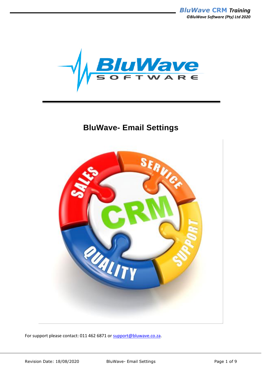*BluWave* **CRM** *Training ©BluWave Software (Pty) Ltd 2020*



## **BluWave- Email Settings**



For support please contact: 011 462 6871 or [support@bluwave.co.za.](mailto:support@bluwave.co.za)

Revision Date: 18/08/2020 BluWave- Email Settings Page 1 of 9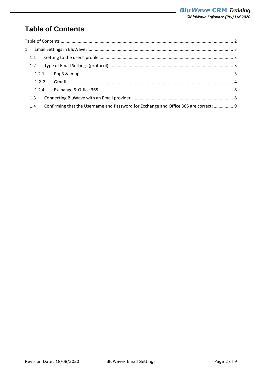# <span id="page-1-0"></span>**Table of Contents**

| 1.1   |                                                                                       |  |
|-------|---------------------------------------------------------------------------------------|--|
| 1.2   |                                                                                       |  |
| 1.2.1 |                                                                                       |  |
| 1.2.2 |                                                                                       |  |
| 1.2.4 |                                                                                       |  |
| 1.3   |                                                                                       |  |
| 1.4   | Confirming that the Username and Password for Exchange and Office 365 are correct:  9 |  |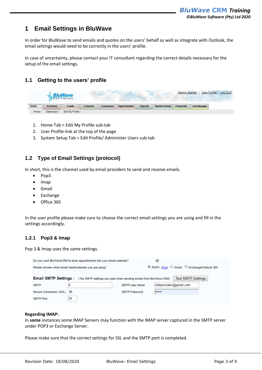## <span id="page-2-0"></span>**1 Email Settings in BluWave**

In order for BluWave to send emails and quotes on the users' behalf as well as integrate with Outlook, the email settings would need to be correctly in the users' profile.

In case of uncertainty, please contact your IT consultant regarding the correct details necessary for the setup of the email settings.

### <span id="page-2-1"></span>**1.1 Getting to the users' profile**

|      |                   | <b>BluWave</b><br>SOFTWARE |          |           |               |                |                     | Getting Started   | User Profile        | Log Out? |
|------|-------------------|----------------------------|----------|-----------|---------------|----------------|---------------------|-------------------|---------------------|----------|
| Home | <b>Activities</b> | Leads                      | Contacts | Companies | Opportunities | <b>Reports</b> | <b>System Setup</b> | <b>Financials</b> | <b>List Manager</b> |          |
| Home | Dashboard         | Edit My Profile            |          |           |               |                |                     |                   |                     |          |

- 1. Home Tab > Edit My Profile sub-tab
- 2. User Profile-link at the top of the page
- 3. System Setup Tab > Edit Profile/ Administer Users sub-tab

### <span id="page-2-2"></span>**1.2 Type of Email Settings (protocol)**

In short, this is the channel used by email providers to send and receive emails.

- Pop3
- Imap
- Gmail
- Exchange
- Office 365

In the user profile please make sure to choose the correct email settings you are using and fill in the settings accordingly.

#### <span id="page-2-3"></span>**1.2.1 Pop3 & Imap**

Pop 3 & Imap uses the same settings.

| Do you want BluWaveCRM to book appointments into your email calendar?                                                                                                                            |                                                          |                      |                                          |  |  |  |  |
|--------------------------------------------------------------------------------------------------------------------------------------------------------------------------------------------------|----------------------------------------------------------|----------------------|------------------------------------------|--|--|--|--|
|                                                                                                                                                                                                  | Please choose which email client/calendar you are using? |                      | O POP3 (ICal) Gmail Exchange/Outlook 365 |  |  |  |  |
| <b>Test SMTP Settings</b><br><b>Email SMTP Settings:</b> (The SMTP settings are used when sending emails from BluWave CRM)<br>mibpsnyders@gmail.com<br>0<br><b>SMTP User Name</b><br><b>SMTP</b> |                                                          |                      |                                          |  |  |  |  |
| Secure Connection (SSL)                                                                                                                                                                          |                                                          | <b>SMTP Password</b> |                                          |  |  |  |  |
| SMTP Port                                                                                                                                                                                        | 25                                                       |                      |                                          |  |  |  |  |

#### **Regarding IMAP:**

In **some** instances some IMAP Servers may function with the IMAP server captured in the SMTP server under POP3 or Exchange Server.

Please make sure that the correct settings for SSL and the SMTP port is completed.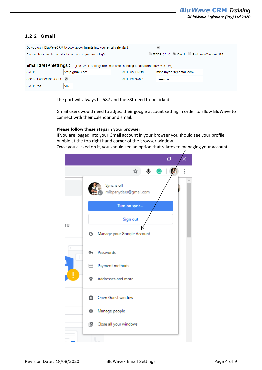#### <span id="page-3-0"></span>**1.2.2 Gmail**

| Do you want BluWaveCRM to book appointments into your email calendar?                                    |                                         |  |                       |  |  |  |
|----------------------------------------------------------------------------------------------------------|-----------------------------------------|--|-----------------------|--|--|--|
| O POP3 (ICal) O Gmail C Exchange/Outlook 365<br>Please choose which email client/calendar you are using? |                                         |  |                       |  |  |  |
| <b>Email SMTP Settings:</b> (The SMTP settings are used when sending emails from BluWave CRM)            |                                         |  |                       |  |  |  |
| <b>SMTP</b>                                                                                              | <b>SMTP User Name</b><br>smtp.gmail.com |  | mibpsnyders@gmail.com |  |  |  |
| Secure Connection (SSL) v<br><b>SMTP Password</b><br>                                                    |                                         |  |                       |  |  |  |
| <b>SMTP Port</b>                                                                                         | 587                                     |  |                       |  |  |  |

The port will always be 587 and the SSL need to be ticked.

Gmail users would need to adjust their google account setting in order to allow BluWave to connect with their calendar and email.

#### **Please follow these steps in your browser:**

If you are logged into your Gmail account in your browser you should see your profile bubble at the top right hand corner of the browser window.

Once you clicked on it, you should see an option that relates to managing your account.

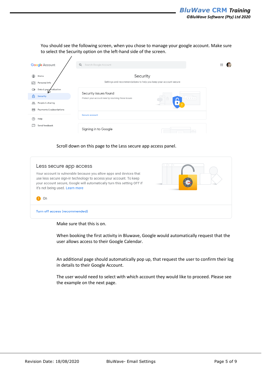You should see the following screen, when you chose to manage your google account. Make sure to select the Security option on the left-hand side of the screen.

| <b>Google Account</b>           |                          | Q<br>Search Google Account                                                          | ∷ |  |
|---------------------------------|--------------------------|-------------------------------------------------------------------------------------|---|--|
| ◉<br>Home<br>啕<br>Personal info |                          | Security<br>Settings and recommendations to help you keep your account secure       |   |  |
| $\circ$<br>சி<br>Security       | Data & personalization   | Security issues found<br>Protect your account now by resolving these issues<br>开关开关 |   |  |
| ക്<br>People & sharing<br>╒╕    | Payments & subscriptions | <b>Secure account</b>                                                               |   |  |
| ②<br>Help                       |                          |                                                                                     |   |  |
| Send feedback<br>H              |                          | Signing in to Google<br>$\frac{1}{2}$                                               |   |  |

Scroll down on this page to the Less secure app access panel.

| Less secure app access                                                                                                                                                                                                                                       | $\begin{array}{ccc} \circ & \circ & \circ \\ \circ & \circ & \circ \end{array}$<br>$\mathbb{Z}$ |
|--------------------------------------------------------------------------------------------------------------------------------------------------------------------------------------------------------------------------------------------------------------|-------------------------------------------------------------------------------------------------|
| Your account is vulnerable because you allow apps and devices that<br>use less secure sign-in technology to access your account. To keep<br>your account secure, Google will automatically turn this setting OFF if<br>it's not being used. Learn more<br>On |                                                                                                 |
| Turn off access (recommended)                                                                                                                                                                                                                                |                                                                                                 |

Make sure that this is on.

When booking the first activity in Bluwave, Google would automatically request that the user allows access to their Google Calendar.

An additional page should automatically pop up, that request the user to confirm their log in details to their Google Account.

The user would need to select with which account they would like to proceed. Please see the example on the next page.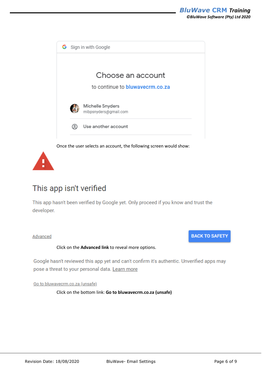



## This app isn't verified

This app hasn't been verified by Google yet. Only proceed if you know and trust the developer.

Advanced

### **BACK TO SAFETY**

#### Click on the **Advanced link** to reveal more options.

Google hasn't reviewed this app yet and can't confirm it's authentic. Unverified apps may pose a threat to your personal data. Learn more

Go to bluwavecrm.co.za (unsafe)

Click on the bottom link: **Go to bluwavecrm.co.za (unsafe)**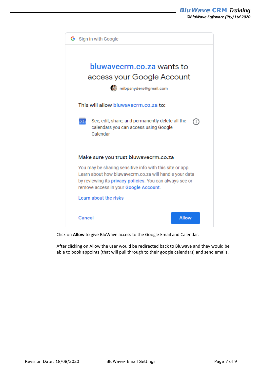

Click on **Allow** to give BluWave access to the Google Email and Calendar.

After clicking on Allow the user would be redirected back to Bluwave and they would be able to book appoints (that will pull through to their google calendars) and send emails.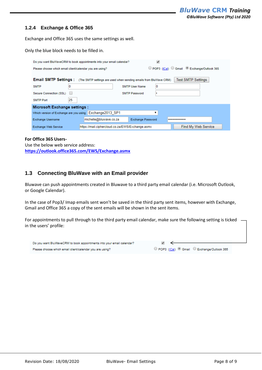#### <span id="page-7-0"></span>**1.2.4 Exchange & Office 365**

Exchange and Office 365 uses the same settings as well.

Only the blue block needs to be filled in.

| Do you want BluWaveCRM to book appointments into your email calendar?                                                      |                                                                         |  |  |  |  |  |
|----------------------------------------------------------------------------------------------------------------------------|-------------------------------------------------------------------------|--|--|--|--|--|
| Please choose which email client/calendar you are using?                                                                   | O POP3 (ICal) Gmail Exchange/Outlook 365                                |  |  |  |  |  |
| <b>Email SMTP Settings:</b> (The SMTP settings are used when sending emails from BluWave CRM)<br><b>Test SMTP Settings</b> |                                                                         |  |  |  |  |  |
| 0<br><b>SMTP</b>                                                                                                           | 0<br><b>SMTP User Name</b>                                              |  |  |  |  |  |
| Secure Connection (SSL)                                                                                                    | <b>SMTP Password</b><br>۰                                               |  |  |  |  |  |
| 25<br><b>SMTP Port</b>                                                                                                     |                                                                         |  |  |  |  |  |
| <b>Microsoft Exchange settings:</b>                                                                                        |                                                                         |  |  |  |  |  |
| Which version of Exchange are you using   Exchange2013 SP1                                                                 | ▼                                                                       |  |  |  |  |  |
| <b>Exchange Username</b>                                                                                                   | michelle@bluwave.co.za<br><b>Exchange Password</b><br>                  |  |  |  |  |  |
| <b>Exchange Web Service</b>                                                                                                | Find My Web Service<br>https://mail.ciphercloud.co.za/EWS/Exchange.asmx |  |  |  |  |  |

#### **For Office 365 Users-**

Use the below web service address: **<https://outlook.office365.com/EWS/Exchange.asmx>**

#### <span id="page-7-1"></span>**1.3 Connecting BluWave with an Email provider**

Bluwave can push appointments created in Bluwave to a third party email calendar (i.e. Microsoft Outlook, or Google Calendar).

In the case of Pop3/ Imap emails sent won't be saved in the third party sent items, however with Exchange, Gmail and Office 365 a copy of the sent emails will be shown in the sent items.

For appointments to pull through to the third party email calendar, make sure the following setting is ticked in the users' profile: